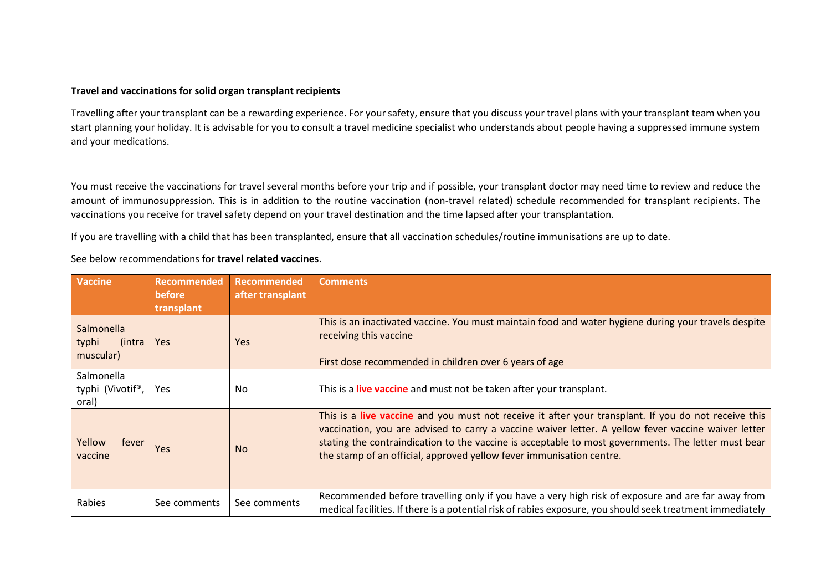## **Travel and vaccinations for solid organ transplant recipients**

Travelling after your transplant can be a rewarding experience. For your safety, ensure that you discuss your travel plans with your transplant team when you start planning your holiday. It is advisable for you to consult a travel medicine specialist who understands about people having a suppressed immune system and your medications.

You must receive the vaccinations for travel several months before your trip and if possible, your transplant doctor may need time to review and reduce the amount of immunosuppression. This is in addition to the routine vaccination (non-travel related) schedule recommended for transplant recipients. The vaccinations you receive for travel safety depend on your travel destination and the time lapsed after your transplantation.

If you are travelling with a child that has been transplanted, ensure that all vaccination schedules/routine immunisations are up to date.

| <b>Vaccine</b>                             | <b>Recommended</b><br><b>before</b><br>transplant | Recommended<br>after transplant | <b>Comments</b>                                                                                                                                                                                                                                                                                                                                                                            |
|--------------------------------------------|---------------------------------------------------|---------------------------------|--------------------------------------------------------------------------------------------------------------------------------------------------------------------------------------------------------------------------------------------------------------------------------------------------------------------------------------------------------------------------------------------|
| Salmonella<br>typhi<br>(intra<br>muscular) | <b>Yes</b>                                        | Yes                             | This is an inactivated vaccine. You must maintain food and water hygiene during your travels despite<br>receiving this vaccine<br>First dose recommended in children over 6 years of age                                                                                                                                                                                                   |
| Salmonella<br>typhi (Vivotif®,<br>oral)    | <b>Yes</b>                                        | No                              | This is a live vaccine and must not be taken after your transplant.                                                                                                                                                                                                                                                                                                                        |
| Yellow<br>fever<br>vaccine                 | Yes                                               | <b>No</b>                       | This is a live vaccine and you must not receive it after your transplant. If you do not receive this<br>vaccination, you are advised to carry a vaccine waiver letter. A yellow fever vaccine waiver letter<br>stating the contraindication to the vaccine is acceptable to most governments. The letter must bear<br>the stamp of an official, approved yellow fever immunisation centre. |
| <b>Rabies</b>                              | See comments                                      | See comments                    | Recommended before travelling only if you have a very high risk of exposure and are far away from<br>medical facilities. If there is a potential risk of rabies exposure, you should seek treatment immediately                                                                                                                                                                            |

See below recommendations for **travel related vaccines**.